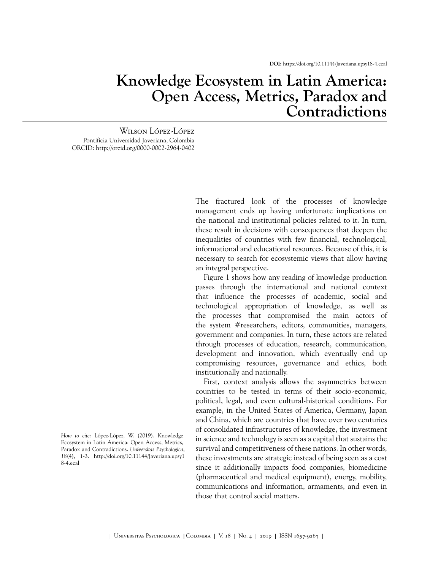## **Knowledge Ecosystem in Latin America: Open Access, Metrics, Paradox and Contradictions**

Wilson López-López Pontificia Universidad Javeriana, Colombia ORCID:<http://orcid.org/0000-0002-2964-0402>

> The fractured look of the processes of knowledge management ends up having unfortunate implications on the national and institutional policies related to it. In turn, these result in decisions with consequences that deepen the inequalities of countries with few financial, technological, informational and educational resources. Because of this, it is necessary to search for ecosystemic views that allow having an integral perspective.

> [Figure 1](#page-1-0) shows how any reading of knowledge production passes through the international and national context that influence the processes of academic, social and technological appropriation of knowledge, as well as the processes that compromised the main actors of the system  $#$ researchers, editors, communities, managers, government and companies. In turn, these actors are related through processes of education, research, communication, development and innovation, which eventually end up compromising resources, governance and ethics, both institutionally and nationally.

> First, context analysis allows the asymmetries between countries to be tested in terms of their socio-economic, political, legal, and even cultural-historical conditions. For example, in the United States of America, Germany, Japan and China, which are countries that have over two centuries of consolidated infrastructures of knowledge, the investment in science and technology is seen as a capital that sustains the survival and competitiveness of these nations. In other words, these investments are strategic instead of being seen as a cost since it additionally impacts food companies, biomedicine (pharmaceutical and medical equipment), energy, mobility, communications and information, armaments, and even in those that control social matters.

*How to cite:* López-López, W. (2019). Knowledge Ecosystem in Latin America: Open Access, Metrics, Paradox and Contradictions. *Universitas Psychologica*, *18*(4), 1-3. [http://doi.org/10.11144/Javeriana.upsy1](http://doi.org/10.11144/Javeriana.upsy18-4.ecal) [8-4.ecal](http://doi.org/10.11144/Javeriana.upsy18-4.ecal)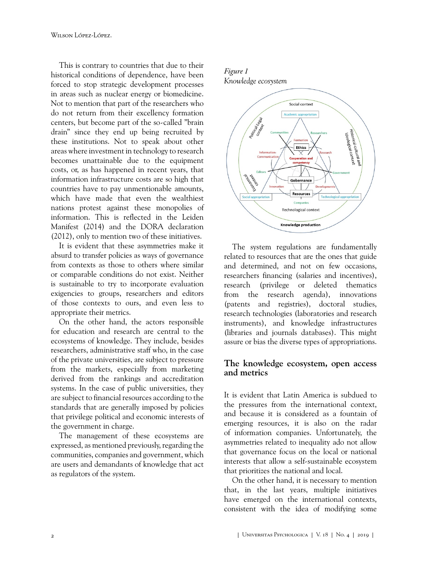This is contrary to countries that due to their historical conditions of dependence, have been forced to stop strategic development processes in areas such as nuclear energy or biomedicine. Not to mention that part of the researchers who do not return from their excellency formation centers, but become part of the so-called "brain drain" since they end up being recruited by these institutions. Not to speak about other areas where investment in technology to research becomes unattainable due to the equipment costs, or, as has happened in recent years, that information infrastructure costs are so high that countries have to pay unmentionable amounts, which have made that even the wealthiest nations protest against these monopolies of information. This is reflected in the Leiden Manifest ([2014\)](#page-2-0) and the DORA declaration ([2012\)](#page-2-1), only to mention two of these initiatives.

It is evident that these asymmetries make it absurd to transfer policies as ways of governance from contexts as those to others where similar or comparable conditions do not exist. Neither is sustainable to try to incorporate evaluation exigencies to groups, researchers and editors of those contexts to ours, and even less to appropriate their metrics.

On the other hand, the actors responsible for education and research are central to the ecosystems of knowledge. They include, besides researchers, administrative staff who, in the case of the private universities, are subject to pressure from the markets, especially from marketing derived from the rankings and accreditation systems. In the case of public universities, they are subject to financial resources according to the standards that are generally imposed by policies that privilege political and economic interests of the government in charge.

The management of these ecosystems are expressed, as mentioned previously, regarding the communities, companies and government, which are users and demandants of knowledge that act as regulators of the system.

## <span id="page-1-0"></span>*Figure 1*





The system regulations are fundamentally related to resources that are the ones that guide and determined, and not on few occasions, researchers financing (salaries and incentives), research (privilege or deleted thematics from the research agenda), innovations (patents and registries), doctoral studies, research technologies (laboratories and research instruments), and knowledge infrastructures (libraries and journals databases). This might assure or bias the diverse types of appropriations.

## **The knowledge ecosystem, open access and metrics**

It is evident that Latin America is subdued to the pressures from the international context, and because it is considered as a fountain of emerging resources, it is also on the radar of information companies. Unfortunately, the asymmetries related to inequality ado not allow that governance focus on the local or national interests that allow a self-sustainable ecosystem that prioritizes the national and local.

On the other hand, it is necessary to mention that, in the last years, multiple initiatives have emerged on the international contexts, consistent with the idea of modifying some